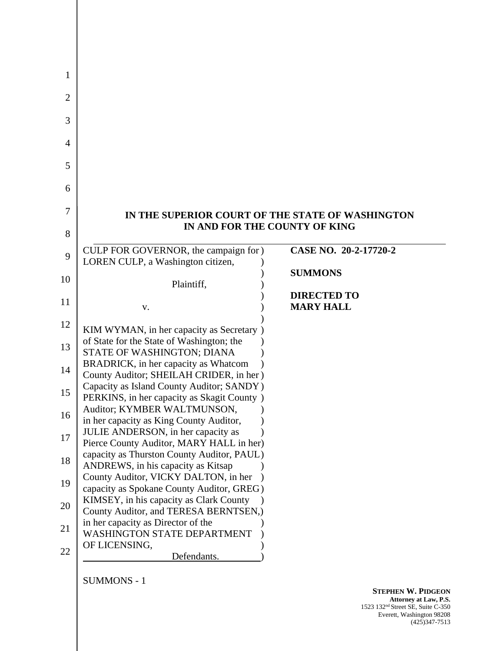| IN THE SUPERIOR COURT OF THE STATE OF WASHINGTON                                        |                               |
|-----------------------------------------------------------------------------------------|-------------------------------|
|                                                                                         | IN AND FOR THE COUNTY OF KING |
| CULP FOR GOVERNOR, the campaign for )                                                   | CASE NO. 20-2-17720-2         |
| LOREN CULP, a Washington citizen,                                                       | <b>SUMMONS</b>                |
| Plaintiff,                                                                              |                               |
|                                                                                         | <b>DIRECTED TO</b>            |
| V.                                                                                      | <b>MARY HALL</b>              |
| KIM WYMAN, in her capacity as Secretary )                                               |                               |
| of State for the State of Washington; the                                               |                               |
| STATE OF WASHINGTON; DIANA                                                              |                               |
| BRADRICK, in her capacity as Whatcom                                                    |                               |
| County Auditor; SHEILAH CRIDER, in her)                                                 |                               |
| Capacity as Island County Auditor; SANDY)<br>PERKINS, in her capacity as Skagit County) |                               |
| Auditor; KYMBER WALTMUNSON,                                                             |                               |
| in her capacity as King County Auditor,                                                 |                               |
| JULIE ANDERSON, in her capacity as                                                      |                               |
| Pierce County Auditor, MARY HALL in her)                                                |                               |
| capacity as Thurston County Auditor, PAUL)<br>ANDREWS, in his capacity as Kitsap        |                               |
| County Auditor, VICKY DALTON, in her                                                    |                               |
| capacity as Spokane County Auditor, GREG)                                               |                               |
| KIMSEY, in his capacity as Clark County                                                 |                               |
| County Auditor, and TERESA BERNTSEN,)                                                   |                               |
| in her capacity as Director of the                                                      |                               |
| <b>WASHINGTON STATE DEPARTMENT</b><br>OF LICENSING,                                     |                               |
| Defendants.                                                                             |                               |
|                                                                                         |                               |

SUMMONS - 1